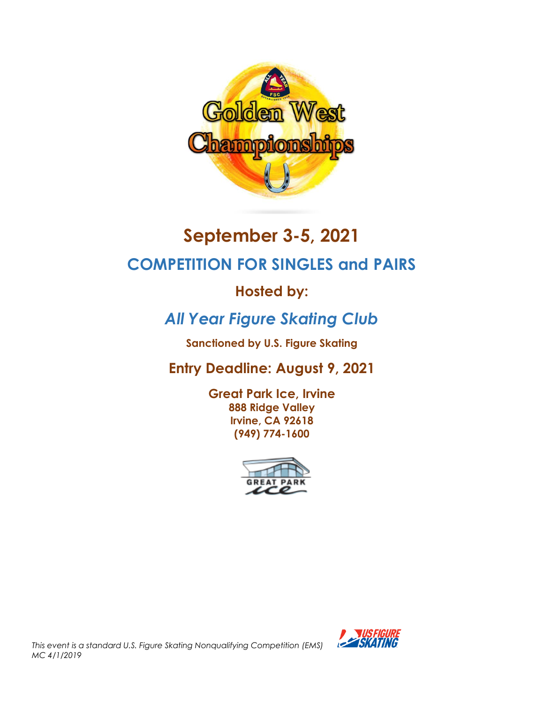

# **September 3-5, 2021**

# **COMPETITION FOR SINGLES and PAIRS**

# **Hosted by:**

# *All Year Figure Skating Club*

**Sanctioned by U.S. Figure Skating**

# **Entry Deadline: August 9, 2021**

**Great Park Ice, Irvine 888 Ridge Valley Irvine, CA 92618 (949) 774-1600**



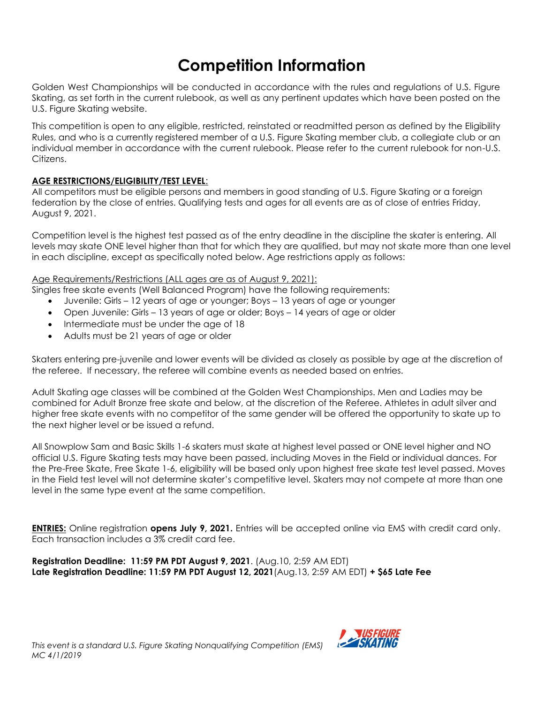# **Competition Information**

Golden West Championships will be conducted in accordance with the rules and regulations of U.S. Figure Skating, as set forth in the current rulebook, as well as any pertinent updates which have been posted on the U.S. Figure Skating website.

This competition is open to any eligible, restricted, reinstated or readmitted person as defined by the Eligibility Rules, and who is a currently registered member of a U.S. Figure Skating member club, a collegiate club or an individual member in accordance with the current rulebook. Please refer to the current rulebook for non-U.S. **Citizens** 

## **AGE RESTRICTIONS/ELIGIBILITY/TEST LEVEL**:

All competitors must be eligible persons and members in good standing of U.S. Figure Skating or a foreign federation by the close of entries. Qualifying tests and ages for all events are as of close of entries Friday, August 9, 2021.

Competition level is the highest test passed as of the entry deadline in the discipline the skater is entering. All levels may skate ONE level higher than that for which they are qualified, but may not skate more than one level in each discipline, except as specifically noted below. Age restrictions apply as follows:

## Age Requirements/Restrictions (ALL ages are as of August 9, 2021):

Singles free skate events (Well Balanced Program) have the following requirements:

- Juvenile: Girls 12 years of age or younger; Boys 13 years of age or younger
- Open Juvenile: Girls 13 years of age or older; Boys 14 years of age or older
- Intermediate must be under the age of 18
- Adults must be 21 years of age or older

Skaters entering pre-juvenile and lower events will be divided as closely as possible by age at the discretion of the referee. If necessary, the referee will combine events as needed based on entries.

Adult Skating age classes will be combined at the Golden West Championships. Men and Ladies may be combined for Adult Bronze free skate and below, at the discretion of the Referee. Athletes in adult silver and higher free skate events with no competitor of the same gender will be offered the opportunity to skate up to the next higher level or be issued a refund.

All Snowplow Sam and Basic Skills 1-6 skaters must skate at highest level passed or ONE level higher and NO official U.S. Figure Skating tests may have been passed, including Moves in the Field or individual dances. For the Pre-Free Skate, Free Skate 1-6, eligibility will be based only upon highest free skate test level passed. Moves in the Field test level will not determine skater's competitive level. Skaters may not compete at more than one level in the same type event at the same competition.

**ENTRIES:** Online registration **opens July 9, 2021.** Entries will be accepted online via EMS with credit card only. Each transaction includes a 3% credit card fee.

**Registration Deadline: 11:59 PM PDT August 9, 2021**. (Aug.10, 2:59 AM EDT) **Late Registration Deadline: 11:59 PM PDT August 12, 2021**(Aug.13, 2:59 AM EDT) **+ \$65 Late Fee**

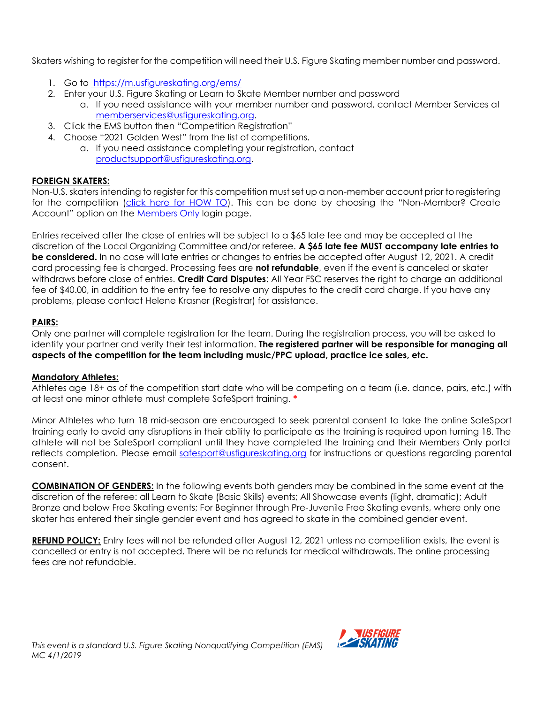Skaters wishing to register for the competition will need their U.S. Figure Skating member number and password.

- 1. Go to <https://m.usfigureskating.org/ems/>
- 2. Enter your U.S. Figure Skating or Learn to Skate Member number and password
	- a. If you need assistance with your member number and password, contact Member Services at [memberservices@usfigureskating.org.](mailto:memberservices@usfigureskating.org)
- 3. Click the EMS button then "Competition Registration"
- 4. Choose "2021 Golden West" from the list of competitions.
	- a. If you need assistance completing your registration, contact [productsupport@usfigureskating.org.](mailto:productsupport@usfigureskating.org)

## **FOREIGN SKATERS:**

Non-U.S. skaters intending to register for this competition must set up a non-member account prior to registering for the competition [\(click here for HOW TO](https://public.3.basecamp.com/p/GwrcZ9DuXrqkxKykKbYQxJGn)). This can be done by choosing the "Non-Member? Create Account" option on the [Members Only](https://m.usfigureskating.org/account/login/) login page.

Entries received after the close of entries will be subject to a \$65 late fee and may be accepted at the discretion of the Local Organizing Committee and/or referee. **A \$65 late fee MUST accompany late entries to be considered.** In no case will late entries or changes to entries be accepted after August 12, 2021. A credit card processing fee is charged. Processing fees are **not refundable**, even if the event is canceled or skater withdraws before close of entries. **Credit Card Disputes**: All Year FSC reserves the right to charge an additional fee of \$40.00, in addition to the entry fee to resolve any disputes to the credit card charge. If you have any problems, please contact Helene Krasner (Registrar) for assistance.

## **PAIRS:**

Only one partner will complete registration for the team. During the registration process, you will be asked to identify your partner and verify their test information. **The registered partner will be responsible for managing all aspects of the competition for the team including music/PPC upload, practice ice sales, etc.**

#### **Mandatory Athletes:**

Athletes age 18+ as of the competition start date who will be competing on a team (i.e. dance, pairs, etc.) with at least one minor athlete must complete SafeSport training. **\***

Minor Athletes who turn 18 mid-season are encouraged to seek parental consent to take the online SafeSport training early to avoid any disruptions in their ability to participate as the training is required upon turning 18. The athlete will not be SafeSport compliant until they have completed the training and their Members Only portal reflects completion. Please email [safesport@usfigureskating.org](mailto:safesport@usfigureskating.org) for instructions or questions regarding parental consent.

**COMBINATION OF GENDERS:** In the following events both genders may be combined in the same event at the discretion of the referee: all Learn to Skate (Basic Skills) events; All Showcase events (light, dramatic); Adult Bronze and below Free Skating events; For Beginner through Pre-Juvenile Free Skating events, where only one skater has entered their single gender event and has agreed to skate in the combined gender event.

**REFUND POLICY:** Entry fees will not be refunded after August 12, 2021 unless no competition exists, the event is cancelled or entry is not accepted. There will be no refunds for medical withdrawals. The online processing fees are not refundable.

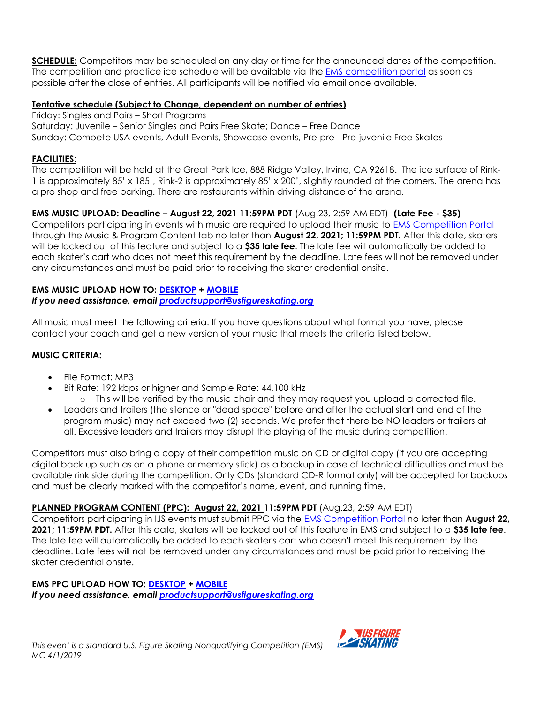**SCHEDULE:** Competitors may be scheduled on any day or time for the announced dates of the competition. The competition and practice ice schedule will be available via the **EMS** [competition portal](https://m.usfigureskating.org/competition/30094?id=30094) as soon as possible after the close of entries. All participants will be notified via email once available.

#### **Tentative schedule (Subject to Change, dependent on number of entries)**

Friday: Singles and Pairs – Short Programs Saturday: Juvenile – Senior Singles and Pairs Free Skate; Dance – Free Dance Sunday: Compete USA events, Adult Events, Showcase events, Pre-pre - Pre-juvenile Free Skates

#### **FACILITIES**:

The competition will be held at the Great Park Ice, 888 Ridge Valley, Irvine, CA 92618. The ice surface of Rink-1 is approximately 85' x 185', Rink-2 is approximately 85' x 200', slightly rounded at the corners. The arena has a pro shop and free parking. There are restaurants within driving distance of the arena.

## **EMS MUSIC UPLOAD: Deadline – August 22, 2021 11:59PM PDT** (Aug.23, 2:59 AM EDT) **(Late Fee - \$35)**

Competitors participating in events with music are required to upload their music to [EMS Competition](https://m.usfigureskating.org/competition/30094?id=30094) Portal through the Music & Program Content tab no later than **August 22, 2021; 11:59PM PDT.** After this date, skaters will be locked out of this feature and subject to a **\$35 late fee**. The late fee will automatically be added to each skater's cart who does not meet this requirement by the deadline. Late fees will not be removed under any circumstances and must be paid prior to receiving the skater credential onsite.

#### **EMS MUSIC UPLOAD HOW TO: [DESKTOP](https://public.3.basecamp.com/p/DdfMJ5Nvp3Daskf47mjskgz3) + [MOBILE](https://public.3.basecamp.com/p/C7VDtYA4h8UMZb6US5MEpny5)** *If you need assistance, email [productsupport@usfigureskating.org](mailto:productsupport@usfigureskating.org)*

All music must meet the following criteria. If you have questions about what format you have, please contact your coach and get a new version of your music that meets the criteria listed below.

#### **MUSIC CRITERIA:**

- File Format: MP3
- Bit Rate: 192 kbps or higher and Sample Rate: 44,100 kHz
	- o This will be verified by the music chair and they may request you upload a corrected file.
- Leaders and trailers (the silence or "dead space" before and after the actual start and end of the program music) may not exceed two (2) seconds. We prefer that there be NO leaders or trailers at all. Excessive leaders and trailers may disrupt the playing of the music during competition.

Competitors must also bring a copy of their competition music on CD or digital copy (if you are accepting digital back up such as on a phone or memory stick) as a backup in case of technical difficulties and must be available rink side during the competition. Only CDs (standard CD-R format only) will be accepted for backups and must be clearly marked with the competitor's name, event, and running time.

**PLANNED PROGRAM CONTENT (PPC): August 22, 2021 11:59PM PDT** (Aug.23, 2:59 AM EDT)

Competitors participating in IJS events must submit PPC via the [EMS Competition](https://m.usfigureskating.org/competition/30094?id=30094) Portal no later than **August 22, 2021; 11:59PM PDT.** After this date, skaters will be locked out of this feature in EMS and subject to a **\$35 late fee**. The late fee will automatically be added to each skater's cart who doesn't meet this requirement by the deadline. Late fees will not be removed under any circumstances and must be paid prior to receiving the skater credential onsite.

#### **EMS PPC UPLOAD HOW TO: [DESKTOP](https://public.3.basecamp.com/p/wFosWGoRmwVRiHGrBTdHunJM) + [MOBILE](https://public.3.basecamp.com/p/BGxdsdotzz3Ue1iUmmazV79x)**

*If you need assistance, email [productsupport@usfigureskating.org](mailto:productsupport@usfigureskating.org)*

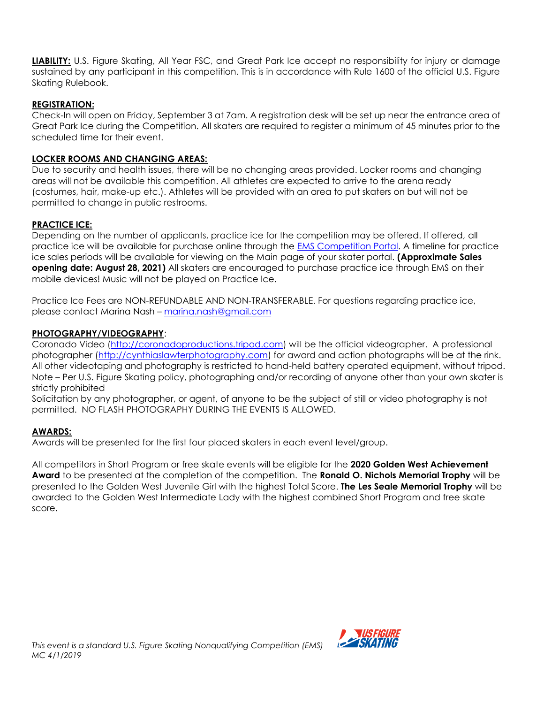**LIABILITY:** U.S. Figure Skating, All Year FSC, and Great Park Ice accept no responsibility for injury or damage sustained by any participant in this competition. This is in accordance with Rule 1600 of the official U.S. Figure Skating Rulebook.

#### **REGISTRATION:**

Check-In will open on Friday, September 3 at 7am. A registration desk will be set up near the entrance area of Great Park Ice during the Competition. All skaters are required to register a minimum of 45 minutes prior to the scheduled time for their event.

### **LOCKER ROOMS AND CHANGING AREAS:**

Due to security and health issues, there will be no changing areas provided. Locker rooms and changing areas will not be available this competition. All athletes are expected to arrive to the arena ready (costumes, hair, make-up etc.). Athletes will be provided with an area to put skaters on but will not be permitted to change in public restrooms.

# **PRACTICE ICE:**

Depending on the number of applicants, practice ice for the competition may be offered. If offered, all practice ice will be available for purchase online through the [EMS Competition](https://m.usfigureskating.org/competition/30094?id=30094) Portal. A timeline for practice ice sales periods will be available for viewing on the Main page of your skater portal. **(Approximate Sales opening date: August 28, 2021)** All skaters are encouraged to purchase practice ice through EMS on their mobile devices! Music will not be played on Practice Ice.

Practice Ice Fees are NON-REFUNDABLE AND NON-TRANSFERABLE. For questions regarding practice ice, please contact Marina Nash – [marina.nash@gmail.com](mailto:marina.nash@gmail.com)

## **PHOTOGRAPHY/VIDEOGRAPHY**:

Coronado Video [\(http://coronadoproductions.tripod.com\)](about:blank) will be the official videographer. A professional photographer [\(http://cynthiaslawterphotography.com\)](about:blank) for award and action photographs will be at the rink. All other videotaping and photography is restricted to hand-held battery operated equipment, without tripod. Note – Per U.S. Figure Skating policy, photographing and/or recording of anyone other than your own skater is strictly prohibited

Solicitation by any photographer, or agent, of anyone to be the subject of still or video photography is not permitted. NO FLASH PHOTOGRAPHY DURING THE EVENTS IS ALLOWED.

#### **AWARDS:**

Awards will be presented for the first four placed skaters in each event level/group.

All competitors in Short Program or free skate events will be eligible for the **2020 Golden West Achievement Award** to be presented at the completion of the competition. The **Ronald O. Nichols Memorial Trophy** will be presented to the Golden West Juvenile Girl with the highest Total Score. **The Les Seale Memorial Trophy** will be awarded to the Golden West Intermediate Lady with the highest combined Short Program and free skate score.

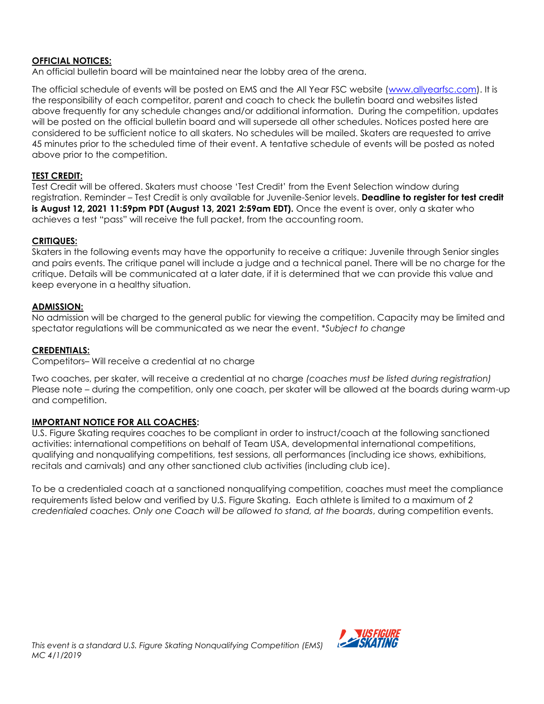#### **OFFICIAL NOTICES:**

An official bulletin board will be maintained near the lobby area of the arena.

The official schedule of events will be posted on EMS and the All Year FSC website [\(www.allyearfsc.com\)](http://www.allyearfsc.com/). It is the responsibility of each competitor, parent and coach to check the bulletin board and websites listed above frequently for any schedule changes and/or additional information. During the competition, updates will be posted on the official bulletin board and will supersede all other schedules. Notices posted here are considered to be sufficient notice to all skaters. No schedules will be mailed. Skaters are requested to arrive 45 minutes prior to the scheduled time of their event. A tentative schedule of events will be posted as noted above prior to the competition.

#### **TEST CREDIT:**

Test Credit will be offered. Skaters must choose 'Test Credit' from the Event Selection window during registration. Reminder – Test Credit is only available for Juvenile-Senior levels. **Deadline to register for test credit is August 12, 2021 11:59pm PDT (August 13, 2021 2:59am EDT).** Once the event is over, only a skater who achieves a test "pass" will receive the full packet, from the accounting room.

#### **CRITIQUES:**

Skaters in the following events may have the opportunity to receive a critique: Juvenile through Senior singles and pairs events. The critique panel will include a judge and a technical panel. There will be no charge for the critique. Details will be communicated at a later date, if it is determined that we can provide this value and keep everyone in a healthy situation.

#### **ADMISSION:**

No admission will be charged to the general public for viewing the competition. Capacity may be limited and spectator regulations will be communicated as we near the event. *\*Subject to change*

#### **CREDENTIALS:**

Competitors– Will receive a credential at no charge

Two coaches, per skater, will receive a credential at no charge *(coaches must be listed during registration)*  Please note – during the competition, only one coach, per skater will be allowed at the boards during warm-up and competition.

#### **IMPORTANT NOTICE FOR ALL COACHES:**

U.S. Figure Skating requires coaches to be compliant in order to instruct/coach at the following sanctioned activities: international competitions on behalf of Team USA, developmental international competitions, qualifying and nonqualifying competitions, test sessions, all performances (including ice shows, exhibitions, recitals and carnivals) and any other sanctioned club activities (including club ice).

To be a credentialed coach at a sanctioned nonqualifying competition, coaches must meet the compliance requirements listed below and verified by U.S. Figure Skating. Each athlete is limited to a maximum of *2 credentialed coaches. Only one Coach will be allowed to stand, at the boards*, during competition events.

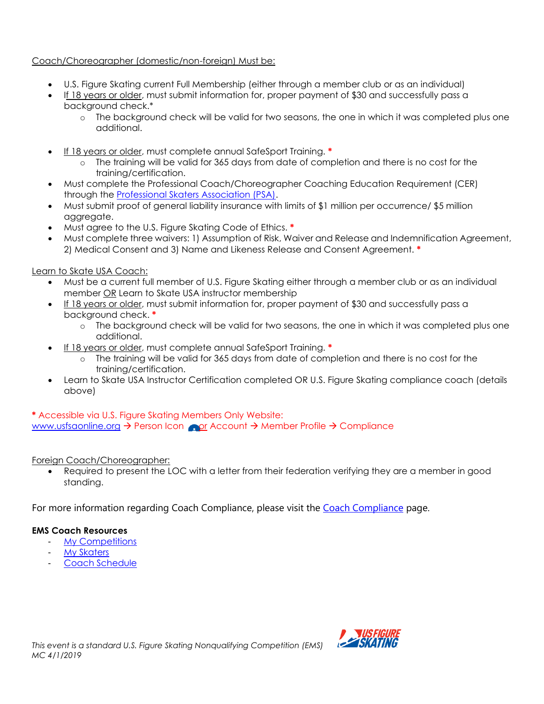Coach/Choreographer (domestic/non-foreign) Must be:

- U.S. Figure Skating current Full Membership (either through a member club or as an individual)
- If 18 years or older, must submit information for, proper payment of \$30 and successfully pass a background check.\*
	- o The background check will be valid for two seasons, the one in which it was completed plus one additional.
- If 18 years or older, must complete annual SafeSport Training. **\***
	- o The training will be valid for 365 days from date of completion and there is no cost for the training/certification.
- Must complete the Professional Coach/Choreographer Coaching Education Requirement (CER) through the [Professional Skaters Association \(PSA\).](https://skatepsa.com/compliance)
- Must submit proof of general liability insurance with limits of \$1 million per occurrence/ \$5 million aggregate.
- Must agree to the U.S. Figure Skating Code of Ethics. **\***
- Must complete three waivers: 1) Assumption of Risk, Waiver and Release and Indemnification Agreement, 2) Medical Consent and 3) Name and Likeness Release and Consent Agreement. **\***

Learn to Skate USA Coach:

- Must be a current full member of U.S. Figure Skating either through a member club or as an individual member OR Learn to Skate USA instructor membership
- If 18 years or older, must submit information for, proper payment of \$30 and successfully pass a background check. **\***
	- o The background check will be valid for two seasons, the one in which it was completed plus one additional.
- If 18 years or older, must complete annual SafeSport Training. **\***
	- o The training will be valid for 365 days from date of completion and there is no cost for the training/certification.
- Learn to Skate USA Instructor Certification completed OR U.S. Figure Skating compliance coach (details above)

#### **\*** Accessible via U.S. Figure Skating Members Only Website: [www.usfsaonline.org](http://www.usfsaonline.org/) → Person Icon or Account → Member Profile → Compliance

# Foreign Coach/Choreographer:

Required to present the LOC with a letter from their federation verifying they are a member in good standing.

For more information regarding [Coach Compliance](https://www.usfigureskating.org/support/coach/coach-compliance), please visit the Coach Compliance page.

#### **EMS Coach Resources**

- [My Competitions](https://public.3.basecamp.com/p/rXE1uyVQqyg3xA7hzXAjpudM)
- **[My Skaters](https://public.3.basecamp.com/p/w79NH9tSWWwJ17EjeUhdpy1V)**
- **[Coach Schedule](https://public.3.basecamp.com/p/3UXnPmqVfktsb1qEwg6AHR2h)**

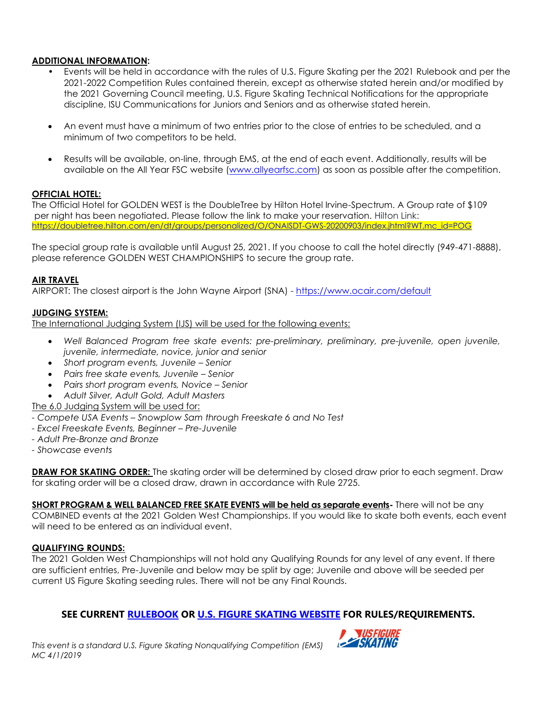#### **ADDITIONAL INFORMATION:**

- Events will be held in accordance with the rules of U.S. Figure Skating per the 2021 Rulebook and per the 2021-2022 Competition Rules contained therein, except as otherwise stated herein and/or modified by the 2021 Governing Council meeting, U.S. Figure Skating Technical Notifications for the appropriate discipline, ISU Communications for Juniors and Seniors and as otherwise stated herein.
- An event must have a minimum of two entries prior to the close of entries to be scheduled, and a minimum of two competitors to be held.
- Results will be available, on-line, through EMS, at the end of each event. Additionally, results will be available on the All Year FSC website [\(www.allyearfsc.com\)](http://www.allyearfsc.com/) as soon as possible after the competition.

#### **OFFICIAL HOTEL:**

The Official Hotel for GOLDEN WEST is the DoubleTree by Hilton Hotel Irvine-Spectrum. A Group rate of \$109 per night has been negotiated. Please follow the link to make your reservation. Hilton Link: [https://doubletree.hilton.com/en/dt/groups/personalized/O/ONAISDT-GWS-20200903/index.jhtml?WT.mc\\_id=POG](https://doubletree.hilton.com/en/dt/groups/personalized/O/ONAISDT-GWS-20200903/index.jhtml?WT.mc_id=POG)

The special group rate is available until August 25, 2021. If you choose to call the hotel directly (949-471-8888), please reference GOLDEN WEST CHAMPIONSHIPS to secure the group rate.

#### **AIR TRAVEL**

AIRPORT: The closest airport is the John Wayne Airport (SNA) - <https://www.ocair.com/default>

#### **JUDGING SYSTEM:**

The International Judging System (IJS) will be used for the following events:

- *Well Balanced Program free skate events: pre-preliminary, preliminary, pre-juvenile, open juvenile, juvenile, intermediate, novice, junior and senior*
- *Short program events, Juvenile – Senior*
- *Pairs free skate events, Juvenile – Senior*
- *Pairs short program events, Novice – Senior*
- *Adult Silver, Adult Gold, Adult Masters*

The 6.0 Judging System will be used for:

- *- Compete USA Events – Snowplow Sam through Freeskate 6 and No Test*
- *- Excel Freeskate Events, Beginner – Pre-Juvenile*
- *- Adult Pre-Bronze and Bronze*
- *- Showcase events*

**DRAW FOR SKATING ORDER:** The skating order will be determined by closed draw prior to each segment. Draw for skating order will be a closed draw, drawn in accordance with Rule 2725.

**SHORT PROGRAM & WELL BALANCED FREE SKATE EVENTS will be held as separate events-** There will not be any COMBINED events at the 2021 Golden West Championships. If you would like to skate both events, each event will need to be entered as an individual event.

#### **QUALIFYING ROUNDS:**

The 2021 Golden West Championships will not hold any Qualifying Rounds for any level of any event. If there are sufficient entries, Pre-Juvenile and below may be split by age; Juvenile and above will be seeded per current US Figure Skating seeding rules. There will not be any Final Rounds.

#### **SEE CURRENT [RULEBOOK](https://www.usfigureskating.org/about/rules) OR [U.S. FIGURE SKATING WEBSITE](http://www.usfsaonline.org/) FOR RULES/REQUIREMENTS.**